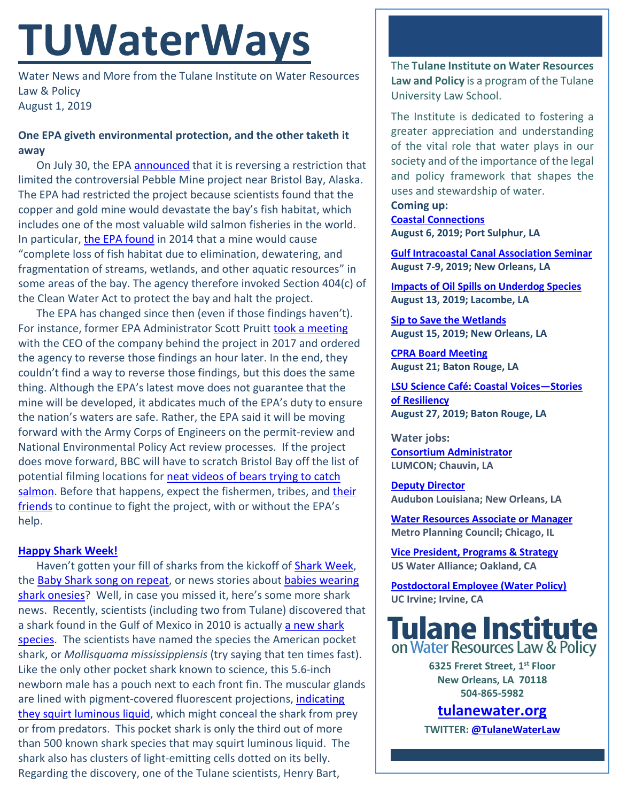# **TUWaterWays**

Water News and More from the Tulane Institute on Water Resources Law & Policy August 1, 2019

## **One EPA giveth environmental protection, and the other taketh it away**

On July 30, the EPA [announced](https://www.epa.gov/newsreleases/epa-withdraws-outdated-preemptive-proposed-determination-restrict-use-pebble-deposit) that it is reversing a restriction that limited the controversial Pebble Mine project near Bristol Bay, Alaska. The EPA had restricted the project because scientists found that the copper and gold mine would devastate the bay's fish habitat, which includes one of the most valuable wild salmon fisheries in the world. In particular, [the EPA found](https://www.epa.gov/bristolbay/2014-proposed-determination-pursuant-section-404c-clean-water-act-pebble-deposit-area) in 2014 that a mine would cause "complete loss of fish habitat due to elimination, dewatering, and fragmentation of streams, wetlands, and other aquatic resources" in some areas of the bay. The agency therefore invoked Section 404(c) of the Clean Water Act to protect the bay and halt the project.

The EPA has changed since then (even if those findings haven't). For instance, former EPA Administrator Scott Pruitt [took a meeting](https://www.cnn.com/2017/09/22/politics/pebble-epa-bristol-bay-invs/index.html) with the CEO of the company behind the project in 2017 and ordered the agency to reverse those findings an hour later. In the end, they couldn't find a way to reverse those findings, but this does the same thing. Although the EPA's latest move does not guarantee that the mine will be developed, it abdicates much of the EPA's duty to ensure the nation's waters are safe. Rather, the EPA said it will be moving forward with the Army Corps of Engineers on the permit-review and National Environmental Policy Act review processes. If the project does move forward, BBC will have to scratch Bristol Bay off the list of potential filming locations fo[r neat videos of bears trying to catch](https://www.youtube.com/watch?v=TSSPDwAQLXs)  [salmon.](https://www.youtube.com/watch?v=TSSPDwAQLXs) Before that happens, expect the fishermen, tribes, and their [friends](https://www.leonardodicaprio.org/tribal-leaders-uniting-to-fight-mining-in-bristol-bay-alaska/) to continue to fight the project, with or without the EPA's help.

## **[Happy Shark Week!](https://www.youtube.com/watch?v=U8NxtL-oLm4)**

Haven't gotten your fill of sharks from the kickoff of [Shark Week,](https://go.discovery.com/tv-shows/shark-week/) the [Baby Shark song on repeat,](https://www.youtube.com/watch?v=5w8QEWA8wGM) or news stories about babies wearing [shark onesies?](https://people.com/human-interest/babies-born-shark-week-baby-shark-onesies/) Well, in case you missed it, here's some more shark news. Recently, scientists (including two from Tulane) discovered that a shark found in the Gulf of Mexico in 2010 is actually [a new shark](https://lonelyplanetwpnews.imgix.net/2019/07/Front-view-pocket-shark-1-e1563975966215.jpg) [species.](https://lonelyplanetwpnews.imgix.net/2019/07/Front-view-pocket-shark-1-e1563975966215.jpg) The scientists have named the species the American pocket shark, or *Mollisquama mississippiensis* (try saying that ten times fast). Like the only other pocket shark known to science, this 5.6-inch newborn male has a pouch next to each front fin. The muscular glands are lined with pigment-covered fluorescent projections, [indicating](https://www.nola.com/news/environment/article_9d57f56a-ac8b-11e9-b649-37eddbc5b38d.html)  [they squirt luminous liquid,](https://www.nola.com/news/environment/article_9d57f56a-ac8b-11e9-b649-37eddbc5b38d.html) which might conceal the shark from prey or from predators. This pocket shark is only the third out of more than 500 known shark species that may squirt luminous liquid. The shark also has clusters of light-emitting cells dotted on its belly. Regarding the discovery, one of the Tulane scientists, Henry Bart,

The **Tulane Institute on Water Resources Law and Policy** is a program of the Tulane University Law School.

The Institute is dedicated to fostering a greater appreciation and understanding of the vital role that water plays in our society and of the importance of the legal and policy framework that shapes the uses and stewardship of water.

**Coming up: [Coastal Connections](https://coastal.la.gov/calendar/) August 6, 2019; Port Sulphur, LA**

**[Gulf Intracoastal Canal Association Seminar](https://www.eventbrite.com/e/114th-annual-gulf-intracoastal-canal-association-seminar-august-7-9-2019-tickets-60884233381?aff=ebdssbdestsearch) August 7-9, 2019; New Orleans, LA**

**[Impacts of Oil Spills on Underdog Species](https://gulfseagrant.org/oilspilloutreach/presentations/underdogs-and-oil-impacts-recovery-and-restoration/) August 13, 2019; Lacombe, LA**

**[Sip to Save the Wetlands](https://www.facebook.com/events/689172188222386/) August 15, 2019; New Orleans, LA**

**[CPRA Board Meeting](https://coastal.la.gov/calendar/) August 21; Baton Rouge, LA**

**[LSU Science Café: Coastal Voices—Stories](https://www.eventbrite.com/e/lsu-science-cafe-coastal-voicesstories-of-resiliency-tickets-59923163796)  [of Resiliency](https://www.eventbrite.com/e/lsu-science-cafe-coastal-voicesstories-of-resiliency-tickets-59923163796) August 27, 2019; Baton Rouge, LA**

**Water jobs: [Consortium Administrator](https://www.governmentjobs.com/careers/louisiana/jobs/2319809/consortium-administrator) LUMCON; Chauvin, LA**

**[Deputy Director](https://careers-audubon.icims.com/jobs/4151/deputy-director%2C-audubon-louisiana/job?mobile=false&width=975&height=500&bga=true&needsRedirect=false&jan1offset=-360&jun1offset=-300) Audubon Louisiana; New Orleans, LA** 

**[Water Resources Associate or Manager](https://www.metroplanning.org/about/Employment0.html) Metro Planning Council; Chicago, IL**

**[Vice President, Programs & Strategy](https://job.ceaconsulting.com/jobs/vice-president-programs-strategy-oakland-ca-105077) US Water Alliance; Oakland, CA**

**[Postdoctoral Employee \(Water Policy\)](https://recruit.ap.uci.edu/JPF05512) UC Irvine; Irvine, CA**



**6325 Freret Street, 1st Floor New Orleans, LA 70118 504-865-5982** 

# **tulanewater.org**

**TWITTER[: @TulaneWaterLaw](http://www.twitter.com/TulaneWaterLaw)**